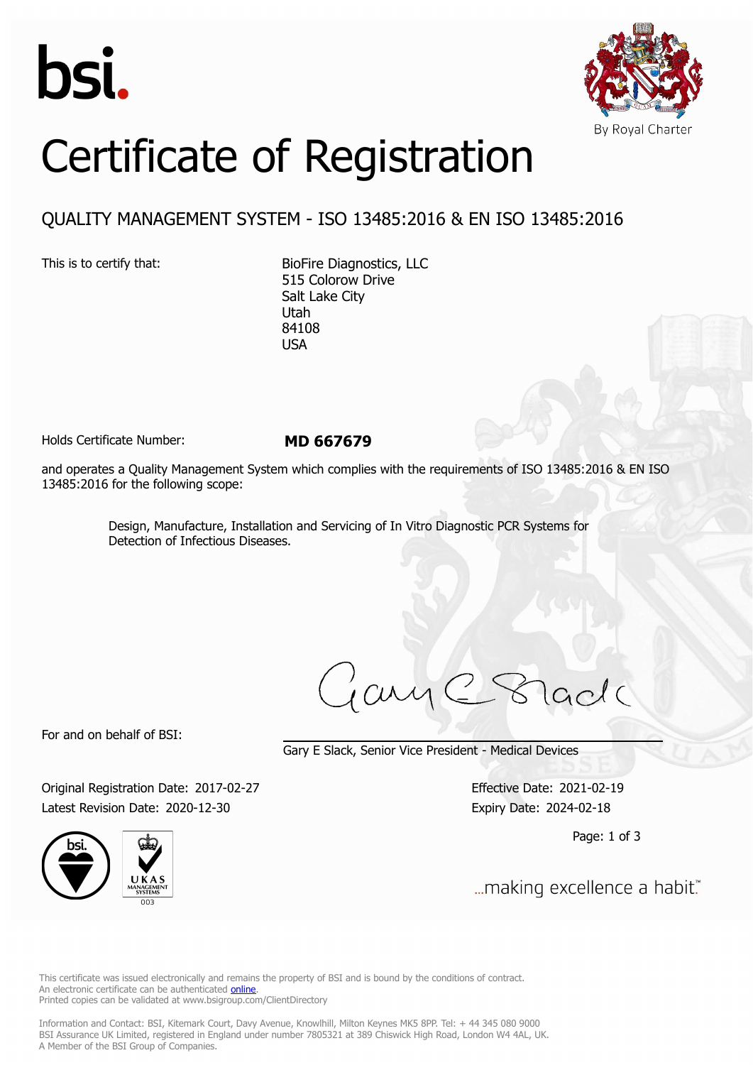



## Certificate of Registration

## QUALITY MANAGEMENT SYSTEM - ISO 13485:2016 & EN ISO 13485:2016

This is to certify that: BioFire Diagnostics, LLC 515 Colorow Drive Salt Lake City Utah 84108 USA

Holds Certificate Number: **MD 667679**

and operates a Quality Management System which complies with the requirements of ISO 13485:2016 & EN ISO 13485:2016 for the following scope:

> Design, Manufacture, Installation and Servicing of In Vitro Diagnostic PCR Systems for Detection of Infectious Diseases.

ary

For and on behalf of BSI:

Gary E Slack, Senior Vice President - Medical Devices

Original Registration Date: 2017-02-27 Effective Date: 2021-02-19 Latest Revision Date: 2020-12-30 Expiry Date: 2024-02-18





Page: 1 of 3

... making excellence a habit."

This certificate was issued electronically and remains the property of BSI and is bound by the conditions of contract. An electronic certificate can be authenticated **[online](https://pgplus.bsigroup.com/CertificateValidation/CertificateValidator.aspx?CertificateNumber=MD+667679&ReIssueDate=30%2f12%2f2020&Template=uk)**. Printed copies can be validated at www.bsigroup.com/ClientDirectory

Information and Contact: BSI, Kitemark Court, Davy Avenue, Knowlhill, Milton Keynes MK5 8PP. Tel: + 44 345 080 9000 BSI Assurance UK Limited, registered in England under number 7805321 at 389 Chiswick High Road, London W4 4AL, UK. A Member of the BSI Group of Companies.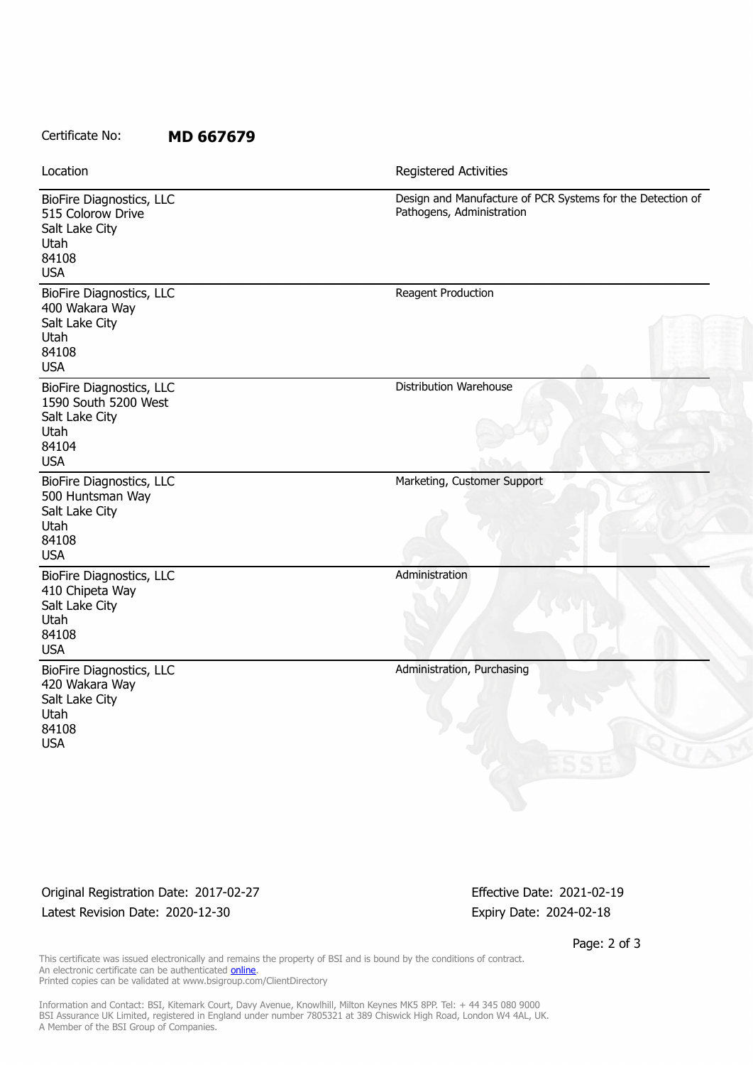## Certificate No: **MD 667679**

Location **Exercise 2018 Registered Activities** 

| Design and Manufacture of PCR Systems for the Detection of<br>Pathogens, Administration |
|-----------------------------------------------------------------------------------------|
| Reagent Production                                                                      |
| Distribution Warehouse                                                                  |
| Marketing, Customer Support                                                             |
| Administration                                                                          |
| Administration, Purchasing                                                              |
|                                                                                         |

Original Registration Date: 2017-02-27 Effective Date: 2021-02-19 Latest Revision Date: 2020-12-30 Expiry Date: 2024-02-18

Page: 2 of 3

This certificate was issued electronically and remains the property of BSI and is bound by the conditions of contract. An electronic certificate can be authenticated **[online](https://pgplus.bsigroup.com/CertificateValidation/CertificateValidator.aspx?CertificateNumber=MD+667679&ReIssueDate=30%2f12%2f2020&Template=uk)**. Printed copies can be validated at www.bsigroup.com/ClientDirectory

Information and Contact: BSI, Kitemark Court, Davy Avenue, Knowlhill, Milton Keynes MK5 8PP. Tel: + 44 345 080 9000 BSI Assurance UK Limited, registered in England under number 7805321 at 389 Chiswick High Road, London W4 4AL, UK. A Member of the BSI Group of Companies.